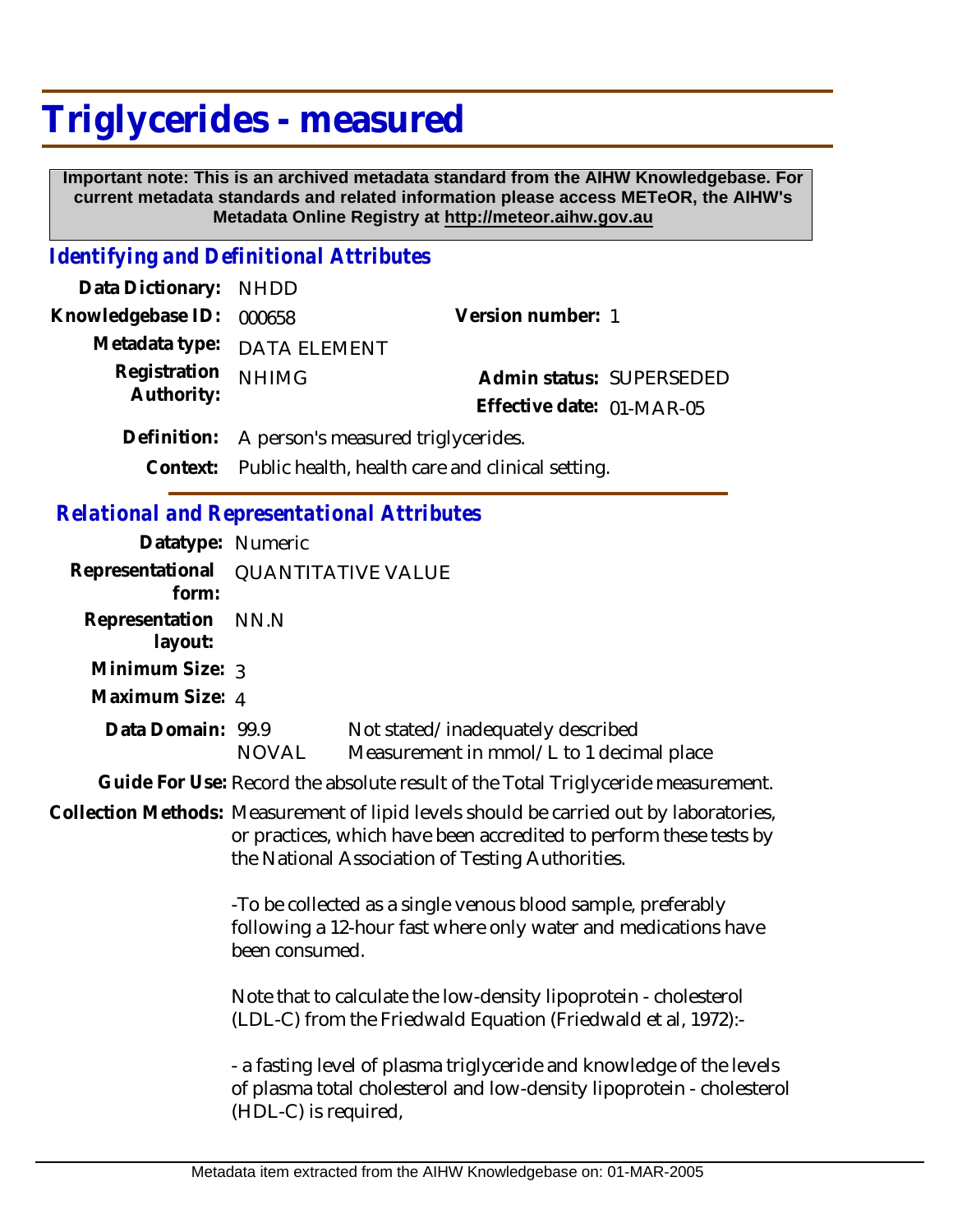## **Triglycerides - measured**

 **Important note: This is an archived metadata standard from the AIHW Knowledgebase. For current metadata standards and related information please access METeOR, the AIHW's Metadata Online Registry at http://meteor.aihw.gov.au**

## *Identifying and Definitional Attributes*

| Data Dictionary: NHDD    |                                                           |                           |  |
|--------------------------|-----------------------------------------------------------|---------------------------|--|
| Knowledgebase ID: 000658 |                                                           | Version number: 1         |  |
|                          | Metadata type: DATA ELEMENT                               |                           |  |
| Registration             | <b>NHIMG</b>                                              | Admin status: SUPERSEDED  |  |
| Authority:               |                                                           | Effective date: 01-MAR-05 |  |
|                          | Definition: A person's measured triglycerides.            |                           |  |
|                          | Context: Public health, health care and clinical setting. |                           |  |

*Relational and Representational Attributes*

| Datatype: Numeric         |                                                                                                                                                                                                                  |                                                                                                                                               |  |
|---------------------------|------------------------------------------------------------------------------------------------------------------------------------------------------------------------------------------------------------------|-----------------------------------------------------------------------------------------------------------------------------------------------|--|
| Representational<br>form: | <b>QUANTITATIVE VALUE</b>                                                                                                                                                                                        |                                                                                                                                               |  |
| Representation<br>layout: | NN.N                                                                                                                                                                                                             |                                                                                                                                               |  |
| Minimum Size: 3           |                                                                                                                                                                                                                  |                                                                                                                                               |  |
| Maximum Size: 4           |                                                                                                                                                                                                                  |                                                                                                                                               |  |
| Data Domain: 99.9         | NOVAL                                                                                                                                                                                                            | Not stated/inadequately described<br>Measurement in mmol/L to 1 decimal place                                                                 |  |
|                           |                                                                                                                                                                                                                  | Guide For Use: Record the absolute result of the Total Triglyceride measurement.                                                              |  |
|                           | Collection Methods: Measurement of lipid levels should be carried out by laboratories,<br>or practices, which have been accredited to perform these tests by<br>the National Association of Testing Authorities. |                                                                                                                                               |  |
|                           | -To be collected as a single venous blood sample, preferably<br>following a 12-hour fast where only water and medications have<br>been consumed.                                                                 |                                                                                                                                               |  |
|                           | Note that to calculate the low-density lipoprotein - cholesterol<br>(LDL-C) from the Friedwald Equation (Friedwald et al, 1972):-                                                                                |                                                                                                                                               |  |
|                           | (HDL-C) is required,                                                                                                                                                                                             | - a fasting level of plasma triglyceride and knowledge of the levels<br>of plasma total cholesterol and low-density lipoprotein - cholesterol |  |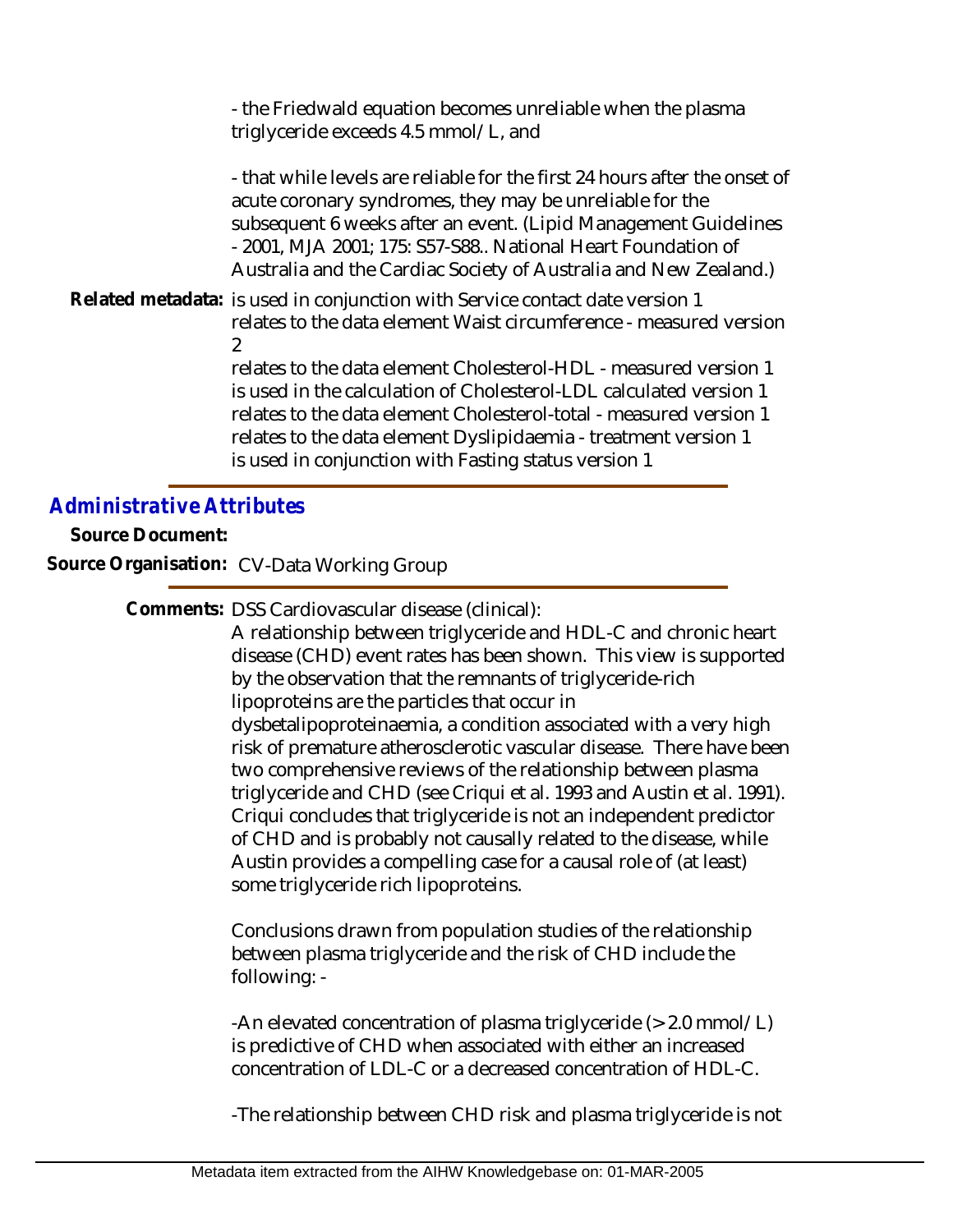- the Friedwald equation becomes unreliable when the plasma triglyceride exceeds 4.5 mmol/L, and

- that while levels are reliable for the first 24 hours after the onset of acute coronary syndromes, they may be unreliable for the subsequent 6 weeks after an event. (Lipid Management Guidelines - 2001, MJA 2001; 175: S57-S88.. National Heart Foundation of Australia and the Cardiac Society of Australia and New Zealand.)

Related metadata: is used in conjunction with Service contact date version 1 relates to the data element Waist circumference - measured version  $\mathcal{L}$ 

relates to the data element Cholesterol-HDL - measured version 1 is used in the calculation of Cholesterol-LDL calculated version 1 relates to the data element Cholesterol-total - measured version 1 relates to the data element Dyslipidaemia - treatment version 1 is used in conjunction with Fasting status version 1

## *Administrative Attributes*

**Source Document:**

**Source Organisation:** CV-Data Working Group

Comments: DSS Cardiovascular disease (clinical):

A relationship between triglyceride and HDL-C and chronic heart disease (CHD) event rates has been shown. This view is supported by the observation that the remnants of triglyceride-rich lipoproteins are the particles that occur in dysbetalipoproteinaemia, a condition associated with a very high risk of premature atherosclerotic vascular disease. There have been two comprehensive reviews of the relationship between plasma triglyceride and CHD (see Criqui et al. 1993 and Austin et al. 1991). Criqui concludes that triglyceride is not an independent predictor of CHD and is probably not causally related to the disease, while Austin provides a compelling case for a causal role of (at least) some triglyceride rich lipoproteins.

Conclusions drawn from population studies of the relationship between plasma triglyceride and the risk of CHD include the following: -

-An elevated concentration of plasma triglyceride (> 2.0 mmol/L) is predictive of CHD when associated with either an increased concentration of LDL-C or a decreased concentration of HDL-C.

-The relationship between CHD risk and plasma triglyceride is not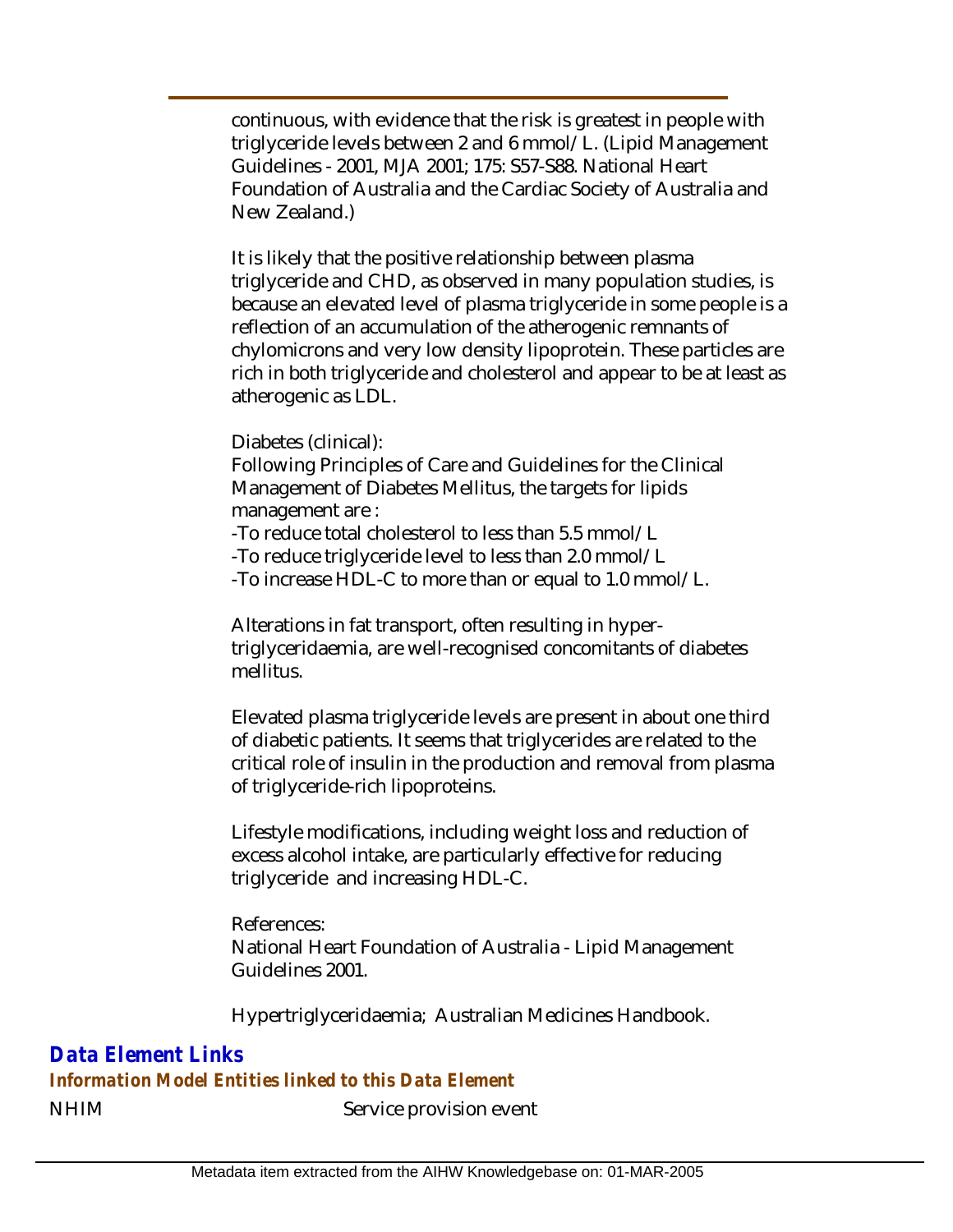continuous, with evidence that the risk is greatest in people with triglyceride levels between 2 and 6 mmol/L. (Lipid Management Guidelines - 2001, MJA 2001; 175: S57-S88. National Heart Foundation of Australia and the Cardiac Society of Australia and New Zealand.)

It is likely that the positive relationship between plasma triglyceride and CHD, as observed in many population studies, is because an elevated level of plasma triglyceride in some people is a reflection of an accumulation of the atherogenic remnants of chylomicrons and very low density lipoprotein. These particles are rich in both triglyceride and cholesterol and appear to be at least as atherogenic as LDL.

Diabetes (clinical):

Following Principles of Care and Guidelines for the Clinical Management of Diabetes Mellitus, the targets for lipids management are :

-To reduce total cholesterol to less than 5.5 mmol/L

-To reduce triglyceride level to less than 2.0 mmol/L

-To increase HDL-C to more than or equal to 1.0 mmol/L.

Alterations in fat transport, often resulting in hypertriglyceridaemia, are well-recognised concomitants of diabetes mellitus.

Elevated plasma triglyceride levels are present in about one third of diabetic patients. It seems that triglycerides are related to the critical role of insulin in the production and removal from plasma of triglyceride-rich lipoproteins.

Lifestyle modifications, including weight loss and reduction of excess alcohol intake, are particularly effective for reducing triglyceride and increasing HDL-C.

References: National Heart Foundation of Australia - Lipid Management Guidelines 2001.

Hypertriglyceridaemia; Australian Medicines Handbook.

*Data Element Links*

*Information Model Entities linked to this Data Element*

NHIM Service provision event